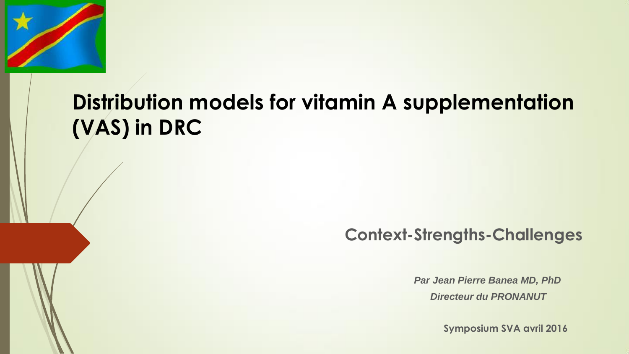

## **Distribution models for vitamin A supplementation (VAS) in DRC**

#### **Context-Strengths-Challenges**

*Par Jean Pierre Banea MD, PhD Directeur du PRONANUT*

**Symposium SVA avril 2016**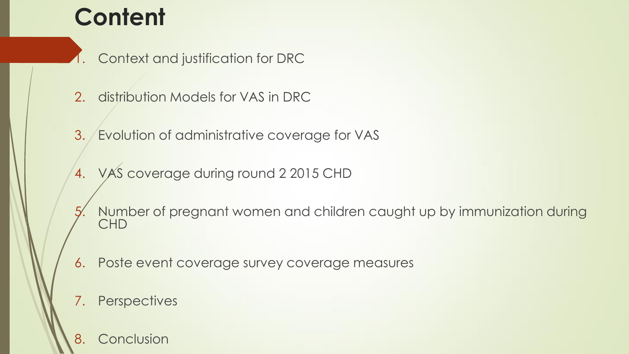## **Content**

Context and justification for DRC

- 2. distribution Models for VAS in DRC
- 3. Evolution of administrative coverage for VAS
- 4. VAS coverage during round 2 2015 CHD
- 5. Number of pregnant women and children caught up by immunization during CHD
- 6. Poste event coverage survey coverage measures

#### 7. Perspectives

8. Conclusion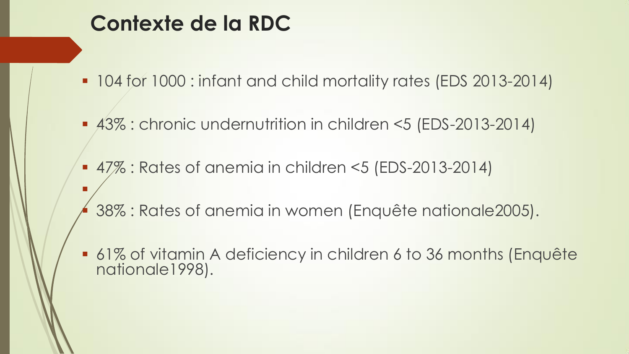### **Contexte de la RDC**

F

- 104 for 1000 : infant and child mortality rates (EDS 2013-2014)
- 43% : chronic undernutrition in children <5 (EDS-2013-2014)
- 47% : Rates of anemia in children <5 (EDS-2013-2014)
- 38% : Rates of anemia in women (Enquête nationale2005).
- 61% of vitamin A deficiency in children 6 to 36 months (Enquête nationale1998).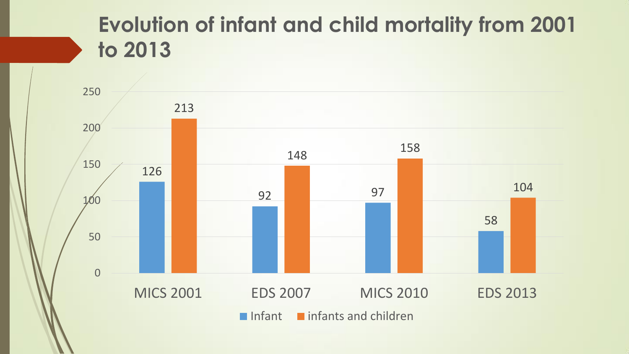### **Evolution of infant and child mortality from 2001 to 2013**

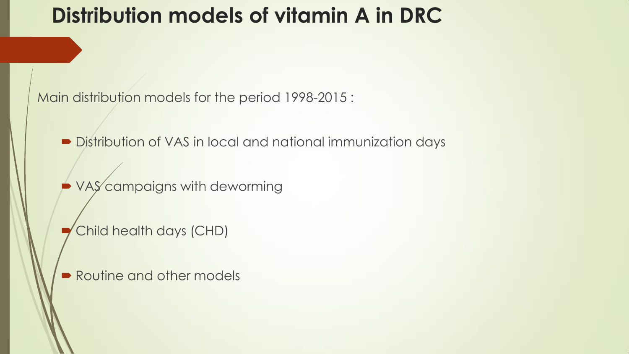### **Distribution models of vitamin A in DRC**

Main distribution models for the period 1998-2015 :

Distribution of VAS in local and national immunization days

**VAS** campaigns with deworming

Child health days (CHD)

Routine and other models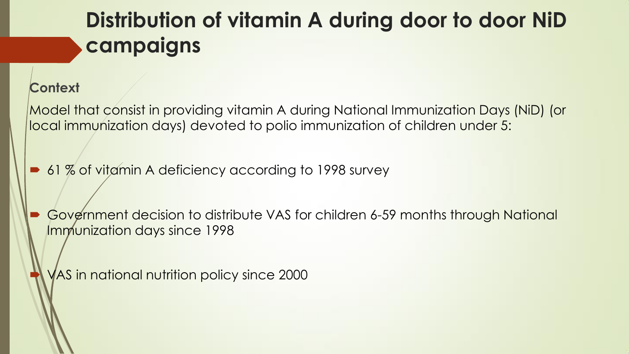### **Distribution of vitamin A during door to door NiD campaigns**

#### **Context**

Model that consist in providing vitamin A during National Immunization Days (NiD) (or local immunization days) devoted to polio immunization of children under 5:

61 % of vitamin A deficiency according to 1998 survey

 Government decision to distribute VAS for children 6-59 months through National Immunization days since 1998

VAS in national nutrition policy since 2000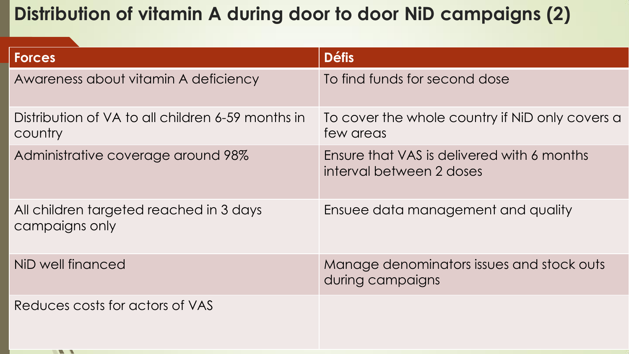#### **Distribution of vitamin A during door to door NiD campaigns (2)**

| <b>Forces</b>                                                | <b>Défis</b>                                                           |
|--------------------------------------------------------------|------------------------------------------------------------------------|
| Awareness about vitamin A deficiency                         | To find funds for second dose                                          |
| Distribution of VA to all children 6-59 months in<br>country | To cover the whole country if NiD only covers a<br>few areas           |
| Administrative coverage around 98%                           | Ensure that VAS is delivered with 6 months<br>interval between 2 doses |
| All children targeted reached in 3 days<br>campaigns only    | Ensuee data management and quality                                     |
| NiD well financed                                            | Manage denominators issues and stock outs<br>during campaigns          |
| Reduces costs for actors of VAS                              |                                                                        |
| $\mathbf{w}$                                                 |                                                                        |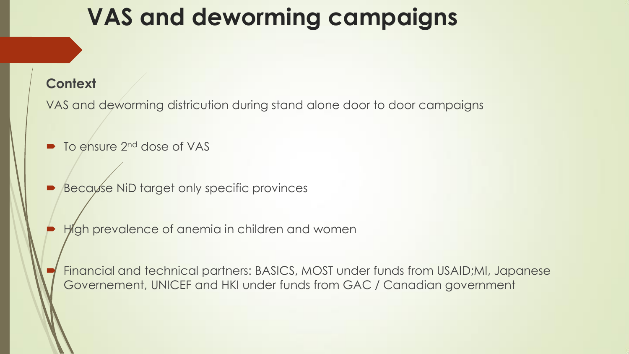## **VAS and deworming campaigns**

#### **Context**

VAS and deworming districution during stand alone door to door campaigns

- To ensure 2<sup>nd</sup> dose of VAS
- Because NiD target only specific provinces
	- High prevalence of anemia in children and women

 Financial and technical partners: BASICS, MOST under funds from USAID;MI, Japanese Governement, UNICEF and HKI under funds from GAC / Canadian government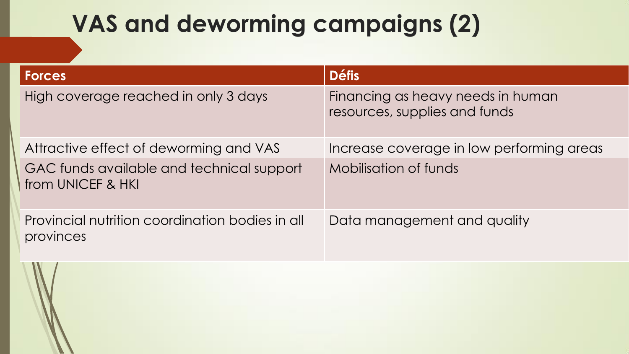# **VAS and deworming campaigns (2)**

| <b>Forces</b>                                                  | <b>Défis</b>                                                       |
|----------------------------------------------------------------|--------------------------------------------------------------------|
| High coverage reached in only 3 days                           | Financing as heavy needs in human<br>resources, supplies and funds |
| Attractive effect of deworming and VAS                         | Increase coverage in low performing areas                          |
| GAC funds available and technical support<br>from UNICEF & HKI | Mobilisation of funds                                              |
| Provincial nutrition coordination bodies in all<br>provinces   | Data management and quality                                        |

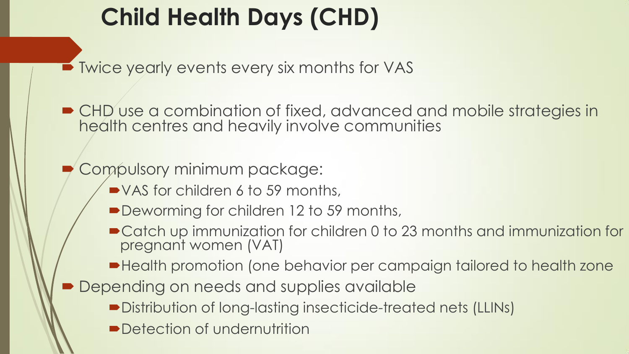# **Child Health Days (CHD)**

■ Twice yearly events every six months for VAS

■ CHD use a combination of fixed, advanced and mobile strategies in health centres and heavily involve communities

#### Compulsory minimum package:

- VAS for children 6 to 59 months,
- Deworming for children 12 to 59 months,
- Catch up immunization for children 0 to 23 months and immunization for pregnant women (VAT)
- Health promotion (one behavior per campaign tailored to health zone
- Depending on needs and supplies available
	- Distribution of long-lasting insecticide-treated nets (LLINs)
	- **Detection of undernutrition**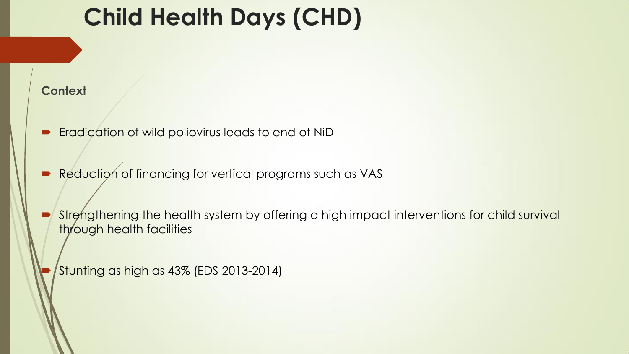## **Child Health Days (CHD)**

#### **Context**

- Eradication of wild poliovirus leads to end of NiD
- Reduction of financing for vertical programs such as VAS
- Strengthening the health system by offering a high impact interventions for child survival through health facilities

Stunting as high as 43% (EDS 2013-2014)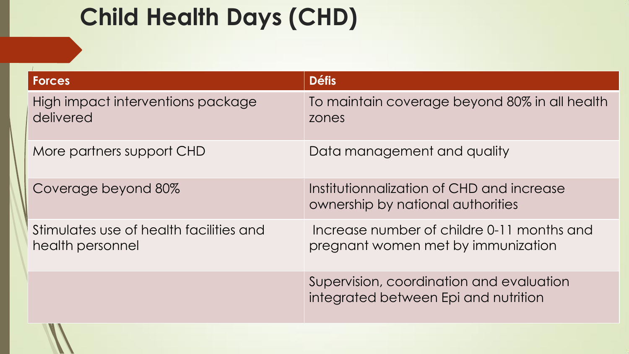# **Child Health Days (CHD)**

| <b>Forces</b>                                               | <b>Défis</b>                                                                     |
|-------------------------------------------------------------|----------------------------------------------------------------------------------|
| High impact interventions package<br>delivered              | To maintain coverage beyond 80% in all health<br>zones                           |
| More partners support CHD                                   | Data management and quality                                                      |
| Coverage beyond 80%                                         | Institutionnalization of CHD and increase<br>ownership by national authorities   |
| Stimulates use of health facilities and<br>health personnel | Increase number of childre 0-11 months and<br>pregnant women met by immunization |
|                                                             | Supervision, coordination and evaluation<br>integrated between Epi and nutrition |
|                                                             |                                                                                  |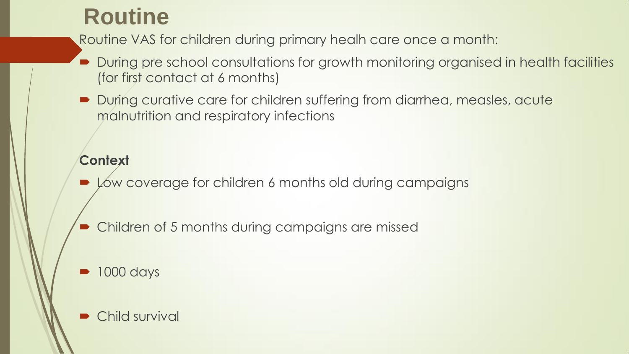### **Routine**

Routine VAS for children during primary healh care once a month:

- During pre school consultations for growth monitoring organised in health facilities (for first contact at 6 months)
- During curative care for children suffering from diarrhea, measles, acute malnutrition and respiratory infections

#### **Context**

- Low coverage for children 6 months old during campaigns
- Children of 5 months during campaigns are missed
- 1000 days
- Child survival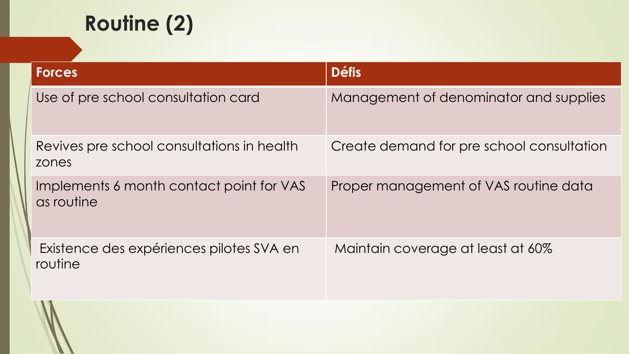## **Routine (2)**

| <b>Forces</b>                                          | <b>Défis</b>                              |
|--------------------------------------------------------|-------------------------------------------|
| Use of pre school consultation card                    | Management of denominator and supplies    |
| Revives pre school consultations in health<br>zones    | Create demand for pre school consultation |
| Implements 6 month contact point for VAS<br>as routine | Proper management of VAS routine data     |
| Existence des expériences pilotes SVA en<br>routine    | Maintain coverage at least at 60%         |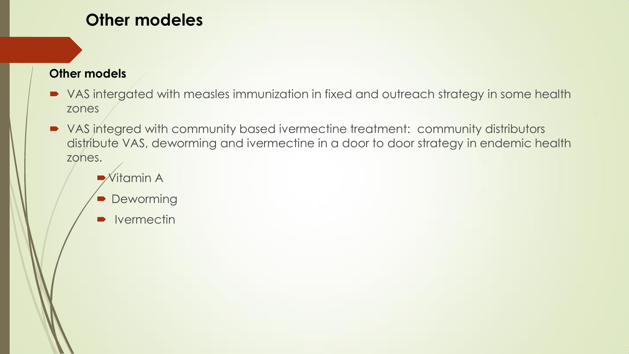#### **Other modeles**

#### **Other models**

- VAS intergated with measles immunization in fixed and outreach strategy in some health zones
- VAS integred with community based ivermectine treatment: community distributors distribute VAS, deworming and ivermectine in a door to door strategy in endemic health zones.
	- Vitamin A
	- Deworming
	- **Ivermectin**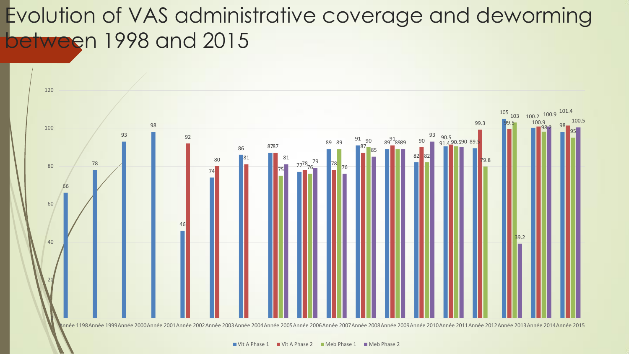## Evolution of VAS administrative coverage and deworming between 1998 and 2015

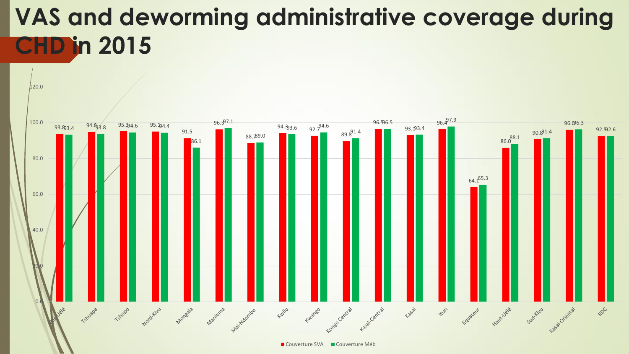## **VAS and deworming administrative coverage during CHD in 2015**

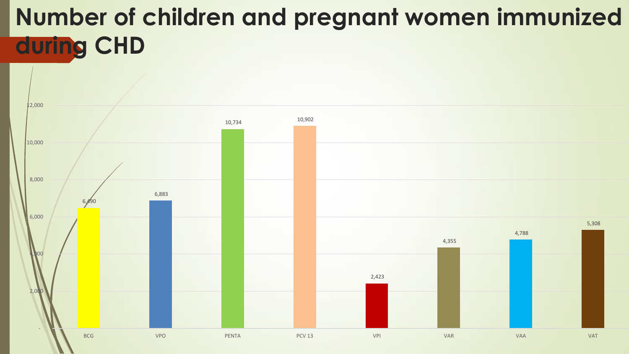# **Number of children and pregnant women immunized during CHD**

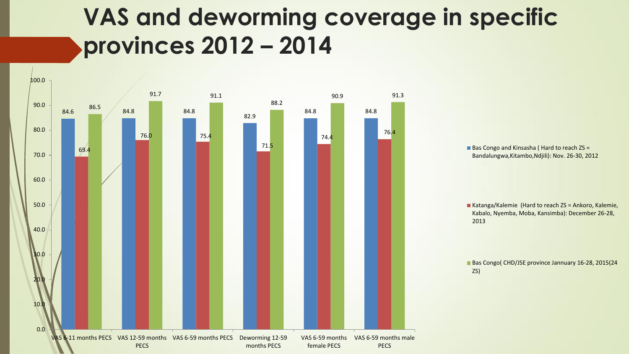## **VAS and deworming coverage in specific provinces 2012 – 2014**



■ Bas Congo and Kinsasha ( Hard to reach ZS = Bandalungwa,Kitambo,Ndjili): Nov. 26-30, 2012

Katanga/Kalemie (Hard to reach ZS = Ankoro, Kalemie, Kabalo, Nyemba, Moba, Kansimba): December 26-28, 2013

Bas Congo( CHD/JSE province Jannuary 16-28, 2015(24 ZS)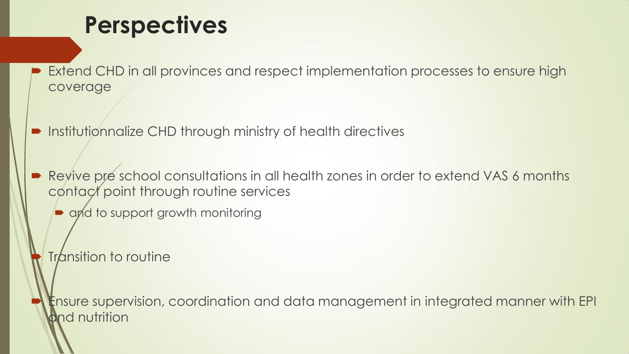## **Perspectives**

 Extend CHD in all provinces and respect implementation processes to ensure high coverage

**•** Institutionnalize CHD through ministry of health directives

Revive pre school consultations in all health zones in order to extend VAS 6 months contact point through routine services

• and to support growth monitoring

Transition to routine

 Ensure supervision, coordination and data management in integrated manner with EPI nd nutrition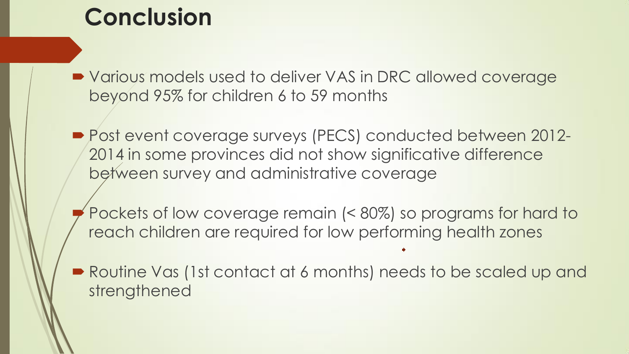## **Conclusion**

■ Various models used to deliver VAS in DRC allowed coverage beyond 95% for children 6 to 59 months

- Post event coverage surveys (PECS) conducted between 2012-2014 in some provinces did not show significative difference between survey and administrative coverage
	- Pockets of low coverage remain (< 80%) so programs for hard to reach children are required for low performing health zones
- Routine Vas (1st contact at 6 months) needs to be scaled up and strengthened